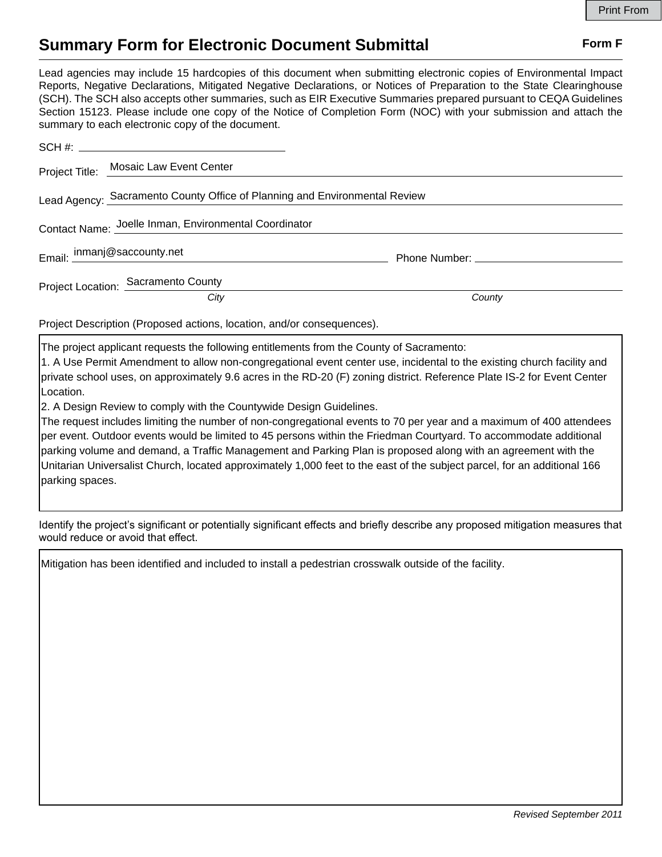## **Summary Form for Electronic Document Submittal Form F Form F**

Lead agencies may include 15 hardcopies of this document when submitting electronic copies of Environmental Impact Reports, Negative Declarations, Mitigated Negative Declarations, or Notices of Preparation to the State Clearinghouse (SCH). The SCH also accepts other summaries, such as EIR Executive Summaries prepared pursuant to CEQA Guidelines Section 15123. Please include one copy of the Notice of Completion Form (NOC) with your submission and attach the summary to each electronic copy of the document.

|                                                                            | Project Title: Mosaic Law Event Center                |        |
|----------------------------------------------------------------------------|-------------------------------------------------------|--------|
| Lead Agency: Sacramento County Office of Planning and Environmental Review |                                                       |        |
|                                                                            | Contact Name: Joelle Inman, Environmental Coordinator |        |
|                                                                            | Email: inmanj@saccounty.net                           |        |
|                                                                            | Project Location: Sacramento County                   |        |
|                                                                            | City                                                  | County |

Project Description (Proposed actions, location, and/or consequences).

The project applicant requests the following entitlements from the County of Sacramento:

1. A Use Permit Amendment to allow non-congregational event center use, incidental to the existing church facility and private school uses, on approximately 9.6 acres in the RD-20 (F) zoning district. Reference Plate IS-2 for Event Center Location.

2. A Design Review to comply with the Countywide Design Guidelines.

The request includes limiting the number of non-congregational events to 70 per year and a maximum of 400 attendees per event. Outdoor events would be limited to 45 persons within the Friedman Courtyard. To accommodate additional parking volume and demand, a Traffic Management and Parking Plan is proposed along with an agreement with the Unitarian Universalist Church, located approximately 1,000 feet to the east of the subject parcel, for an additional 166 parking spaces.

Identify the project's significant or potentially significant effects and briefly describe any proposed mitigation measures that would reduce or avoid that effect.

Mitigation has been identified and included to install a pedestrian crosswalk outside of the facility.